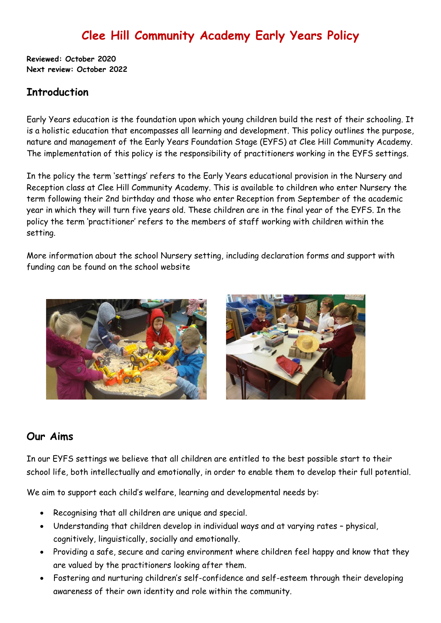# **Clee Hill Community Academy Early Years Policy**

**Reviewed: October 2020 Next review: October 2022**

### **Introduction**

Early Years education is the foundation upon which young children build the rest of their schooling. It is a holistic education that encompasses all learning and development. This policy outlines the purpose, nature and management of the Early Years Foundation Stage (EYFS) at Clee Hill Community Academy. The implementation of this policy is the responsibility of practitioners working in the EYFS settings.

In the policy the term 'settings' refers to the Early Years educational provision in the Nursery and Reception class at Clee Hill Community Academy. This is available to children who enter Nursery the term following their 2nd birthday and those who enter Reception from September of the academic year in which they will turn five years old. These children are in the final year of the EYFS. In the policy the term 'practitioner' refers to the members of staff working with children within the setting.

More information about the school Nursery setting, including declaration forms and support with funding can be found on the school website





### **Our Aims**

In our EYFS settings we believe that all children are entitled to the best possible start to their school life, both intellectually and emotionally, in order to enable them to develop their full potential.

We aim to support each child's welfare, learning and developmental needs by:

- Recognising that all children are unique and special.
- Understanding that children develop in individual ways and at varying rates physical, cognitively, linguistically, socially and emotionally.
- Providing a safe, secure and caring environment where children feel happy and know that they are valued by the practitioners looking after them.
- Fostering and nurturing children's self-confidence and self-esteem through their developing awareness of their own identity and role within the community.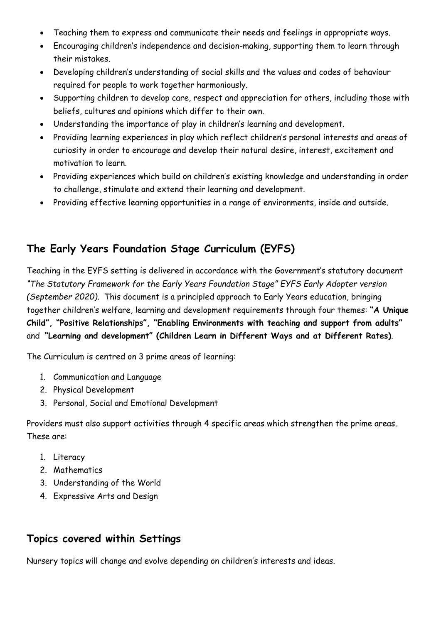- Teaching them to express and communicate their needs and feelings in appropriate ways.
- Encouraging children's independence and decision-making, supporting them to learn through their mistakes.
- Developing children's understanding of social skills and the values and codes of behaviour required for people to work together harmoniously.
- Supporting children to develop care, respect and appreciation for others, including those with beliefs, cultures and opinions which differ to their own.
- Understanding the importance of play in children's learning and development.
- Providing learning experiences in play which reflect children's personal interests and areas of curiosity in order to encourage and develop their natural desire, interest, excitement and motivation to learn.
- Providing experiences which build on children's existing knowledge and understanding in order to challenge, stimulate and extend their learning and development.
- Providing effective learning opportunities in a range of environments, inside and outside.

## **The Early Years Foundation Stage Curriculum (EYFS)**

Teaching in the EYFS setting is delivered in accordance with the Government's statutory document *"The Statutory Framework for the Early Years Foundation Stage" EYFS Early Adopter version (September 2020).* This document is a principled approach to Early Years education, bringing together children's welfare, learning and development requirements through four themes: **"A Unique Child", "Positive Relationships", "Enabling Environments with teaching and support from adults"**  and **"Learning and development" (Children Learn in Different Ways and at Different Rates)**.

The Curriculum is centred on 3 prime areas of learning:

- 1. Communication and Language
- 2. Physical Development
- 3. Personal, Social and Emotional Development

Providers must also support activities through 4 specific areas which strengthen the prime areas. These are:

- 1. Literacy
- 2. Mathematics
- 3. Understanding of the World
- 4. Expressive Arts and Design

### **Topics covered within Settings**

Nursery topics will change and evolve depending on children's interests and ideas.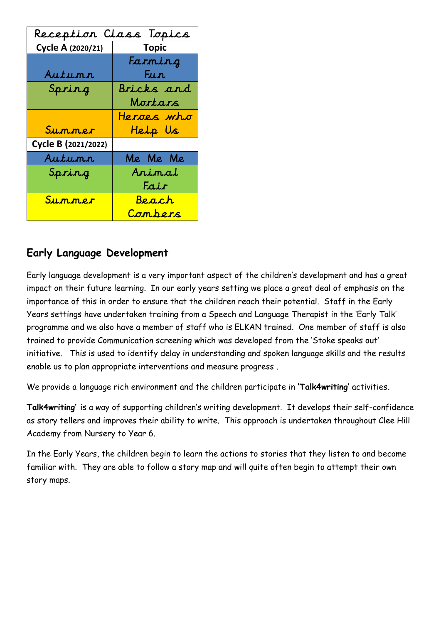| Reception Class Topics |              |  |
|------------------------|--------------|--|
| Cycle A (2020/21)      | Topic        |  |
|                        | Farming      |  |
| Autunn                 | " Fun"       |  |
| Spring                 | Bricks and   |  |
|                        | Mortars      |  |
|                        | Heroes who   |  |
| Summer                 | Help Us      |  |
| Cycle B (2021/2022)    |              |  |
| Autunn                 | Me Me Me     |  |
| Spring                 | Animal       |  |
|                        | Fair         |  |
| Summer                 | <u>Beach</u> |  |
|                        | Combers      |  |

## **Early Language Development**

Early language development is a very important aspect of the children's development and has a great impact on their future learning. In our early years setting we place a great deal of emphasis on the importance of this in order to ensure that the children reach their potential. Staff in the Early Years settings have undertaken training from a Speech and Language Therapist in the 'Early Talk' programme and we also have a member of staff who is ELKAN trained. One member of staff is also trained to provide Communication screening which was developed from the 'Stoke speaks out' initiative. This is used to identify delay in understanding and spoken language skills and the results enable us to plan appropriate interventions and measure progress .

We provide a language rich environment and the children participate in **'Talk4writing'** activities.

**Talk4writing'** is a way of supporting children's writing development. It develops their self-confidence as story tellers and improves their ability to write. This approach is undertaken throughout Clee Hill Academy from Nursery to Year 6.

In the Early Years, the children begin to learn the actions to stories that they listen to and become familiar with. They are able to follow a story map and will quite often begin to attempt their own story maps.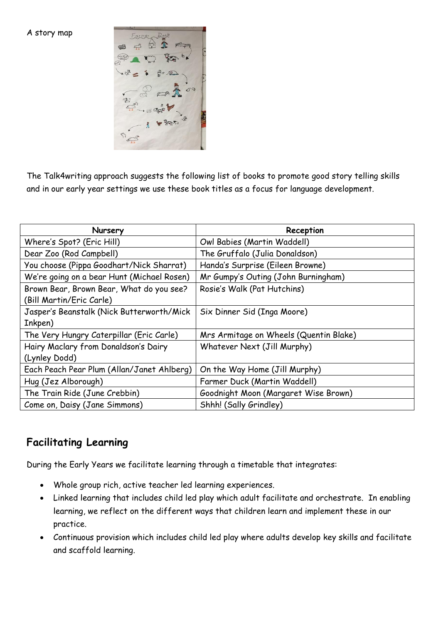A story map



The Talk4writing approach suggests the following list of books to promote good story telling skills and in our early year settings we use these book titles as a focus for language development.

| Nursery                                    | Reception                              |
|--------------------------------------------|----------------------------------------|
| Where's Spot? (Eric Hill)                  | Owl Babies (Martin Waddell)            |
| Dear Zoo (Rod Campbell)                    | The Gruffalo (Julia Donaldson)         |
| You choose (Pippa Goodhart/Nick Sharrat)   | Handa's Surprise (Eileen Browne)       |
| We're going on a bear Hunt (Michael Rosen) | Mr Gumpy's Outing (John Burningham)    |
| Brown Bear, Brown Bear, What do you see?   | Rosie's Walk (Pat Hutchins)            |
| (Bill Martin/Eric Carle)                   |                                        |
| Jasper's Beanstalk (Nick Butterworth/Mick  | Six Dinner Sid (Inga Moore)            |
| Inkpen)                                    |                                        |
| The Very Hungry Caterpillar (Eric Carle)   | Mrs Armitage on Wheels (Quentin Blake) |
| Hairy Maclary from Donaldson's Dairy       | Whatever Next (Jill Murphy)            |
| (Lynley Dodd)                              |                                        |
| Each Peach Pear Plum (Allan/Janet Ahlberg) | On the Way Home (Jill Murphy)          |
| Hug (Jez Alborough)                        | Farmer Duck (Martin Waddell)           |
| The Train Ride (June Crebbin)              | Goodnight Moon (Margaret Wise Brown)   |
| Come on, Daisy (Jane Simmons)              | Shhh! (Sally Grindley)                 |

### **Facilitating Learning**

During the Early Years we facilitate learning through a timetable that integrates:

- Whole group rich, active teacher led learning experiences.
- Linked learning that includes child led play which adult facilitate and orchestrate. In enabling learning, we reflect on the different ways that children learn and implement these in our practice.
- Continuous provision which includes child led play where adults develop key skills and facilitate and scaffold learning.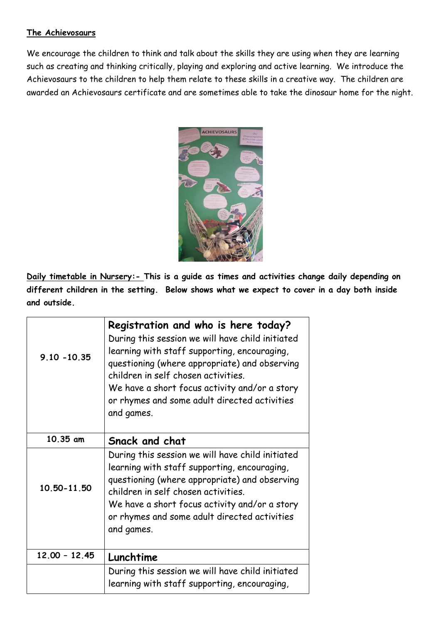#### **The Achievosaurs**

We encourage the children to think and talk about the skills they are using when they are learning such as creating and thinking critically, playing and exploring and active learning. We introduce the Achievosaurs to the children to help them relate to these skills in a creative way. The children are awarded an Achievosaurs certificate and are sometimes able to take the dinosaur home for the night.



**Daily timetable in Nursery:- This is a guide as times and activities change daily depending on different children in the setting. Below shows what we expect to cover in a day both inside and outside.**

| $9.10 - 10.35$  | Registration and who is here today?<br>During this session we will have child initiated<br>learning with staff supporting, encouraging,<br>questioning (where appropriate) and observing<br>children in self chosen activities.<br>We have a short focus activity and/or a story<br>or rhymes and some adult directed activities<br>and games. |
|-----------------|------------------------------------------------------------------------------------------------------------------------------------------------------------------------------------------------------------------------------------------------------------------------------------------------------------------------------------------------|
| 10.35 am        | Snack and chat                                                                                                                                                                                                                                                                                                                                 |
| 10.50-11.50     | During this session we will have child initiated<br>learning with staff supporting, encouraging,<br>questioning (where appropriate) and observing<br>children in self chosen activities.<br>We have a short focus activity and/or a story<br>or rhymes and some adult directed activities<br>and games.                                        |
| $12.00 - 12.45$ | Lunchtime                                                                                                                                                                                                                                                                                                                                      |
|                 | During this session we will have child initiated<br>learning with staff supporting, encouraging,                                                                                                                                                                                                                                               |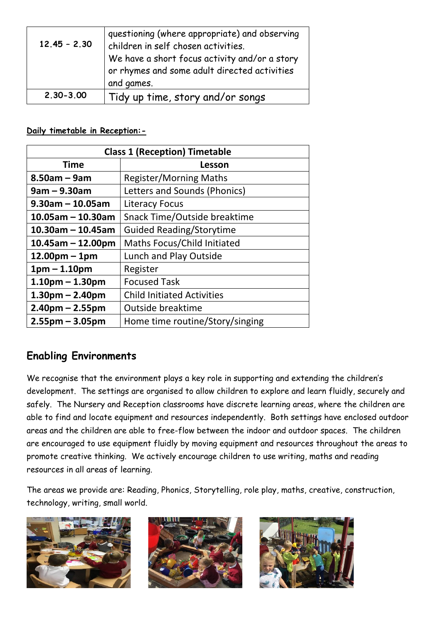| $12.45 - 2.30$ | questioning (where appropriate) and observing<br>children in self chosen activities.<br>We have a short focus activity and/or a story<br>or rhymes and some adult directed activities<br>and games. |
|----------------|-----------------------------------------------------------------------------------------------------------------------------------------------------------------------------------------------------|
| $2,30 - 3,00$  | Tidy up time, story and/or songs                                                                                                                                                                    |

#### **Daily timetable in Reception:-**

| <b>Class 1 (Reception) Timetable</b> |                                   |  |
|--------------------------------------|-----------------------------------|--|
| Time                                 | Lesson                            |  |
| $8.50$ am – 9am                      | <b>Register/Morning Maths</b>     |  |
| $9am - 9.30am$                       | Letters and Sounds (Phonics)      |  |
| $9.30$ am - 10.05am                  | <b>Literacy Focus</b>             |  |
| $10.05$ am – 10.30am                 | Snack Time/Outside breaktime      |  |
| $10.30$ am - 10.45am                 | <b>Guided Reading/Storytime</b>   |  |
| $10.45$ am – 12.00pm                 | Maths Focus/Child Initiated       |  |
| $12.00pm - 1pm$                      | Lunch and Play Outside            |  |
| $1pm - 1.10pm$                       | Register                          |  |
| $1.10pm - 1.30pm$                    | <b>Focused Task</b>               |  |
| $1.30pm - 2.40pm$                    | <b>Child Initiated Activities</b> |  |
| $2.40pm - 2.55pm$                    | Outside breaktime                 |  |
| $2.55$ pm – 3.05pm                   | Home time routine/Story/singing   |  |

## **Enabling Environments**

We recognise that the environment plays a key role in supporting and extending the children's development. The settings are organised to allow children to explore and learn fluidly, securely and safely. The Nursery and Reception classrooms have discrete learning areas, where the children are able to find and locate equipment and resources independently. Both settings have enclosed outdoor areas and the children are able to free-flow between the indoor and outdoor spaces. The children are encouraged to use equipment fluidly by moving equipment and resources throughout the areas to promote creative thinking. We actively encourage children to use writing, maths and reading resources in all areas of learning.

The areas we provide are: Reading, Phonics, Storytelling, role play, maths, creative, construction, technology, writing, small world.





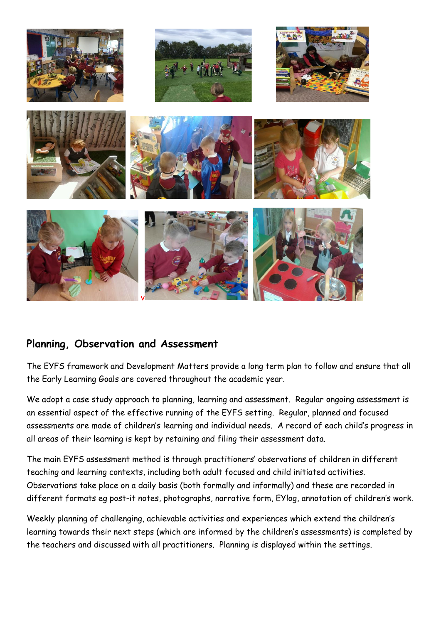

### **Planning, Observation and Assessment**

The EYFS framework and Development Matters provide a long term plan to follow and ensure that all the Early Learning Goals are covered throughout the academic year.

We adopt a case study approach to planning, learning and assessment. Regular ongoing assessment is an essential aspect of the effective running of the EYFS setting. Regular, planned and focused assessments are made of children's learning and individual needs. A record of each child's progress in all areas of their learning is kept by retaining and filing their assessment data.

The main EYFS assessment method is through practitioners' observations of children in different teaching and learning contexts, including both adult focused and child initiated activities. Observations take place on a daily basis (both formally and informally) and these are recorded in different formats eg post-it notes, photographs, narrative form, EYlog, annotation of children's work.

Weekly planning of challenging, achievable activities and experiences which extend the children's learning towards their next steps (which are informed by the children's assessments) is completed by the teachers and discussed with all practitioners. Planning is displayed within the settings.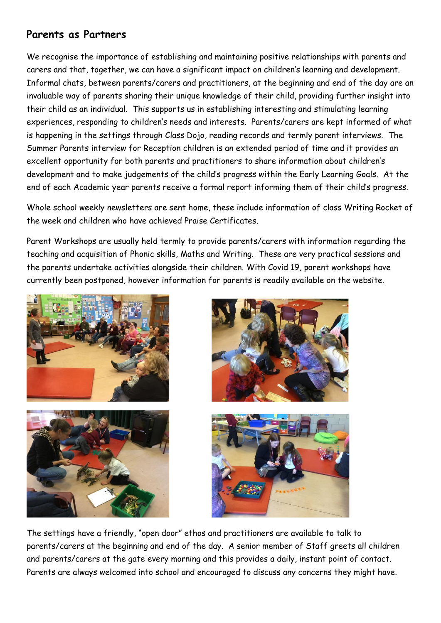## **Parents as Partners**

We recognise the importance of establishing and maintaining positive relationships with parents and carers and that, together, we can have a significant impact on children's learning and development. Informal chats, between parents/carers and practitioners, at the beginning and end of the day are an invaluable way of parents sharing their unique knowledge of their child, providing further insight into their child as an individual. This supports us in establishing interesting and stimulating learning experiences, responding to children's needs and interests. Parents/carers are kept informed of what is happening in the settings through Class Dojo, reading records and termly parent interviews. The Summer Parents interview for Reception children is an extended period of time and it provides an excellent opportunity for both parents and practitioners to share information about children's development and to make judgements of the child's progress within the Early Learning Goals. At the end of each Academic year parents receive a formal report informing them of their child's progress.

Whole school weekly newsletters are sent home, these include information of class Writing Rocket of the week and children who have achieved Praise Certificates.

Parent Workshops are usually held termly to provide parents/carers with information regarding the teaching and acquisition of Phonic skills, Maths and Writing. These are very practical sessions and the parents undertake activities alongside their children. With Covid 19, parent workshops have currently been postponed, however information for parents is readily available on the website.









The settings have a friendly, "open door" ethos and practitioners are available to talk to parents/carers at the beginning and end of the day. A senior member of Staff greets all children and parents/carers at the gate every morning and this provides a daily, instant point of contact. Parents are always welcomed into school and encouraged to discuss any concerns they might have.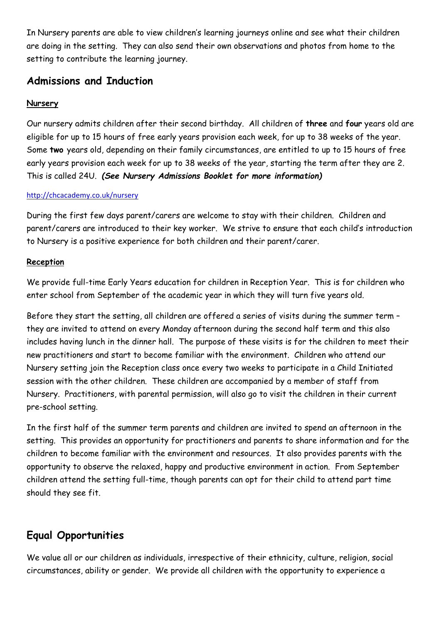In Nursery parents are able to view children's learning journeys online and see what their children are doing in the setting. They can also send their own observations and photos from home to the setting to contribute the learning journey.

### **Admissions and Induction**

#### **Nursery**

Our nursery admits children after their second birthday. All children of **three** and **four** years old are eligible for up to 15 hours of free early years provision each week, for up to 38 weeks of the year. Some **two** years old, depending on their family circumstances, are entitled to up to 15 hours of free early years provision each week for up to 38 weeks of the year, starting the term after they are 2. This is called 24U. *(See Nursery Admissions Booklet for more information)* 

#### <http://chcacademy.co.uk/nursery>

During the first few days parent/carers are welcome to stay with their children. Children and parent/carers are introduced to their key worker. We strive to ensure that each child's introduction to Nursery is a positive experience for both children and their parent/carer.

#### **Reception**

We provide full-time Early Years education for children in Reception Year. This is for children who enter school from September of the academic year in which they will turn five years old.

Before they start the setting, all children are offered a series of visits during the summer term – they are invited to attend on every Monday afternoon during the second half term and this also includes having lunch in the dinner hall. The purpose of these visits is for the children to meet their new practitioners and start to become familiar with the environment. Children who attend our Nursery setting join the Reception class once every two weeks to participate in a Child Initiated session with the other children. These children are accompanied by a member of staff from Nursery. Practitioners, with parental permission, will also go to visit the children in their current pre-school setting.

In the first half of the summer term parents and children are invited to spend an afternoon in the setting. This provides an opportunity for practitioners and parents to share information and for the children to become familiar with the environment and resources. It also provides parents with the opportunity to observe the relaxed, happy and productive environment in action. From September children attend the setting full-time, though parents can opt for their child to attend part time should they see fit.

## **Equal Opportunities**

We value all or our children as individuals, irrespective of their ethnicity, culture, religion, social circumstances, ability or gender. We provide all children with the opportunity to experience a